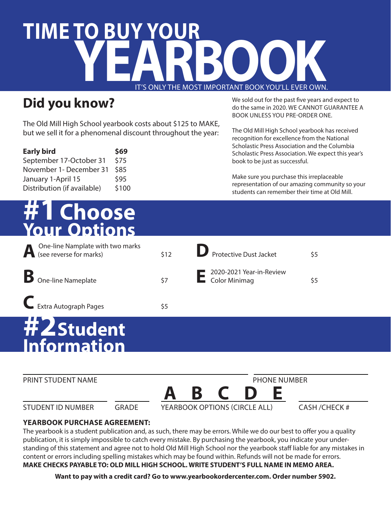# **TIME TO BUY YOUR**  IT'S ONLY THE MOST IMPORTANT BOOK YOU'LL EVER OWN ONLY THE MOST IMPORTANT BOOK YOU'LL EVER OWN.

#### **Did you know?**

The Old Mill High School yearbook costs about \$125 to MAKE, but we sell it for a phenomenal discount throughout the year:

| <b>Early bird</b>           | \$69  |
|-----------------------------|-------|
| September 17-October 31     | \$75  |
| November 1- December 31     | \$85  |
| January 1-April 15          | \$95  |
| Distribution (if available) | \$100 |

## **#1Choose Your Options**

| One-line Namplate with two marks<br><b>A</b> One-line Namplate with<br>(see reverse for marks) | \$12 | Protective Dust Jacket                    | $\overline{\overline{\overline{}}}$ |
|------------------------------------------------------------------------------------------------|------|-------------------------------------------|-------------------------------------|
| <b>B</b> One-line Nameplate                                                                    | \$7  | 2020-2021 Year-in-Review<br>Color Minimag | \$5                                 |
| Extra Autograph Pages                                                                          | \$5  |                                           |                                     |

### **#2 Student Information**



#### **YEARBOOK PURCHASE AGREEMENT:**

The yearbook is a student publication and, as such, there may be errors. While we do our best to offer you a quality publication, it is simply impossible to catch every mistake. By purchasing the yearbook, you indicate your understanding of this statement and agree not to hold Old Mill High School nor the yearbook staff liable for any mistakes in content or errors including spelling mistakes which may be found within. Refunds will not be made for errors. **MAKE CHECKS PAYABLE TO: OLD MILL HIGH SCHOOL. WRITE STUDENT'S FULL NAME IN MEMO AREA.**

**Want to pay with a credit card? Go to www.yearbookordercenter.com. Order number 5902.**

We sold out for the past five years and expect to do the same in 2020. WE CANNOT GUARANTEE A BOOK UNLESS YOU PRE-ORDER ONE.

The Old Mill High School yearbook has received recognition for excellence from the National Scholastic Press Association and the Columbia Scholastic Press Association. We expect this year's book to be just as successful.

Make sure you purchase this irreplaceable representation of our amazing community so your students can remember their time at Old Mill.